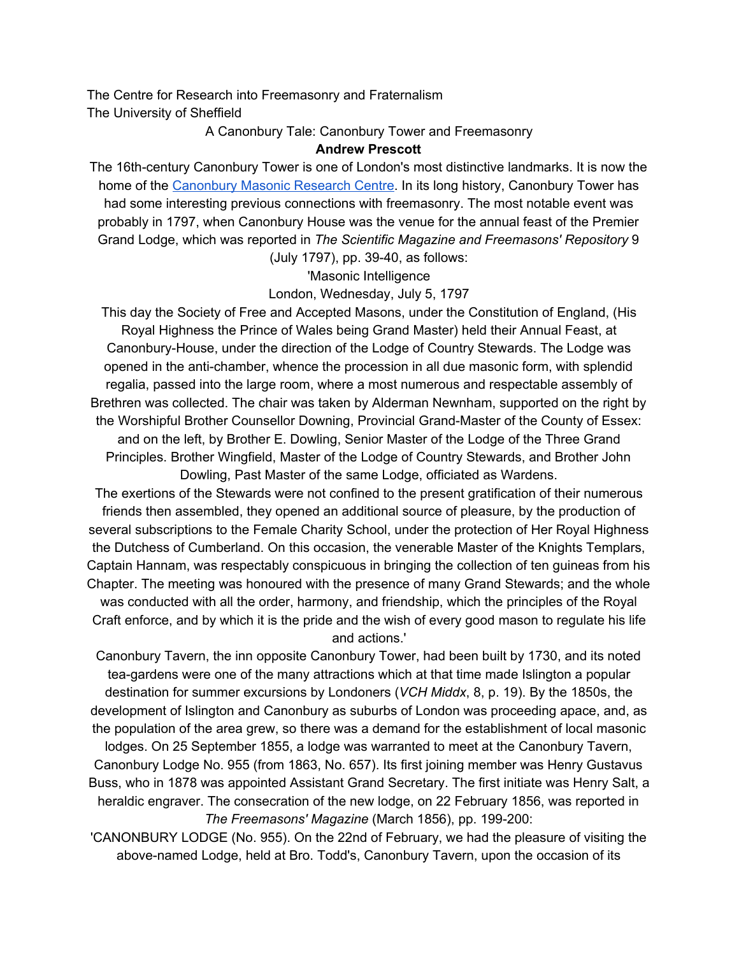The Centre for Research into Freemasonry and Fraternalism The University of Sheffield

A Canonbury Tale: Canonbury Tower and Freemasonry

## **Andrew Prescott**

The 16th-century Canonbury Tower is one of London's most distinctive landmarks. It is now the home of the [Canonbury](http://www.canonbury.ac.uk/) Masonic Research Centre. In its long history, Canonbury Tower has had some interesting previous connections with freemasonry. The most notable event was probably in 1797, when Canonbury House was the venue for the annual feast of the Premier Grand Lodge, which was reported in *The Scientific Magazine and Freemasons' Repository* 9

(July 1797), pp. 39-40, as follows:

'Masonic Intelligence

London, Wednesday, July 5, 1797

This day the Society of Free and Accepted Masons, under the Constitution of England, (His Royal Highness the Prince of Wales being Grand Master) held their Annual Feast, at Canonbury-House, under the direction of the Lodge of Country Stewards. The Lodge was opened in the anti-chamber, whence the procession in all due masonic form, with splendid regalia, passed into the large room, where a most numerous and respectable assembly of Brethren was collected. The chair was taken by Alderman Newnham, supported on the right by the Worshipful Brother Counsellor Downing, Provincial Grand-Master of the County of Essex: and on the left, by Brother E. Dowling, Senior Master of the Lodge of the Three Grand Principles. Brother Wingfield, Master of the Lodge of Country Stewards, and Brother John Dowling, Past Master of the same Lodge, officiated as Wardens.

The exertions of the Stewards were not confined to the present gratification of their numerous friends then assembled, they opened an additional source of pleasure, by the production of several subscriptions to the Female Charity School, under the protection of Her Royal Highness the Dutchess of Cumberland. On this occasion, the venerable Master of the Knights Templars, Captain Hannam, was respectably conspicuous in bringing the collection of ten guineas from his Chapter. The meeting was honoured with the presence of many Grand Stewards; and the whole was conducted with all the order, harmony, and friendship, which the principles of the Royal Craft enforce, and by which it is the pride and the wish of every good mason to regulate his life and actions.'

Canonbury Tavern, the inn opposite Canonbury Tower, had been built by 1730, and its noted tea-gardens were one of the many attractions which at that time made Islington a popular destination for summer excursions by Londoners (*VCH Middx*, 8, p. 19). By the 1850s, the development of Islington and Canonbury as suburbs of London was proceeding apace, and, as the population of the area grew, so there was a demand for the establishment of local masonic

lodges. On 25 September 1855, a lodge was warranted to meet at the Canonbury Tavern, Canonbury Lodge No. 955 (from 1863, No. 657). Its first joining member was Henry Gustavus Buss, who in 1878 was appointed Assistant Grand Secretary. The first initiate was Henry Salt, a heraldic engraver. The consecration of the new lodge, on 22 February 1856, was reported in *The Freemasons' Magazine* (March 1856), pp. 199-200:

'CANONBURY LODGE (No. 955). On the 22nd of February, we had the pleasure of visiting the above-named Lodge, held at Bro. Todd's, Canonbury Tavern, upon the occasion of its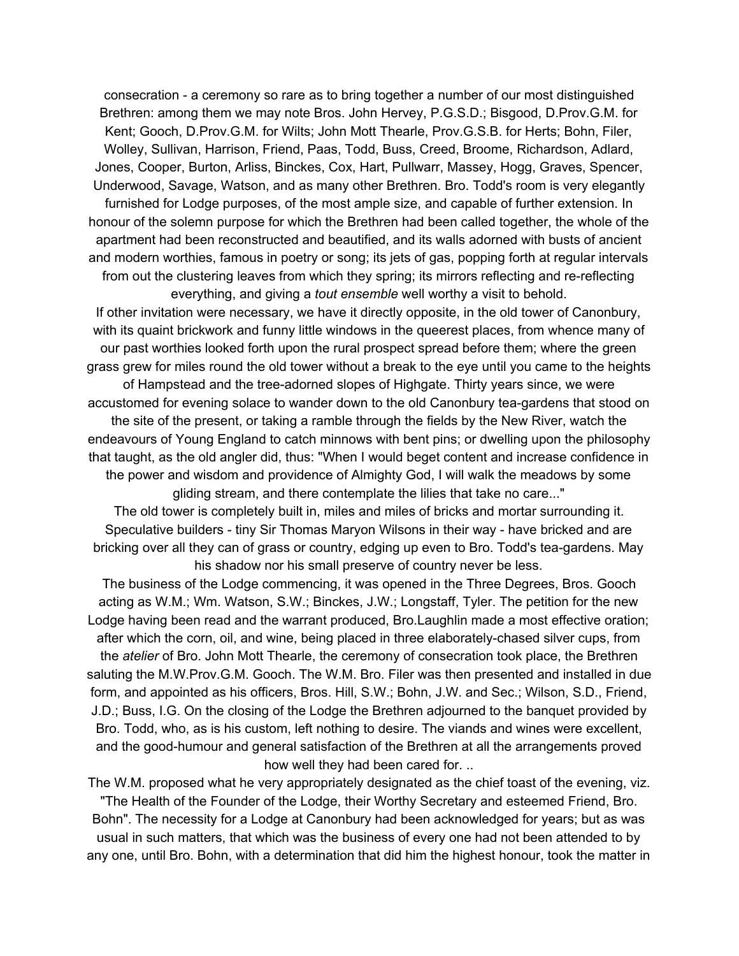consecration - a ceremony so rare as to bring together a number of our most distinguished Brethren: among them we may note Bros. John Hervey, P.G.S.D.; Bisgood, D.Prov.G.M. for Kent; Gooch, D.Prov.G.M. for Wilts; John Mott Thearle, Prov.G.S.B. for Herts; Bohn, Filer, Wolley, Sullivan, Harrison, Friend, Paas, Todd, Buss, Creed, Broome, Richardson, Adlard, Jones, Cooper, Burton, Arliss, Binckes, Cox, Hart, Pullwarr, Massey, Hogg, Graves, Spencer, Underwood, Savage, Watson, and as many other Brethren. Bro. Todd's room is very elegantly furnished for Lodge purposes, of the most ample size, and capable of further extension. In honour of the solemn purpose for which the Brethren had been called together, the whole of the apartment had been reconstructed and beautified, and its walls adorned with busts of ancient and modern worthies, famous in poetry or song; its jets of gas, popping forth at regular intervals from out the clustering leaves from which they spring; its mirrors reflecting and re-reflecting everything, and giving a *tout ensemble* well worthy a visit to behold.

If other invitation were necessary, we have it directly opposite, in the old tower of Canonbury, with its quaint brickwork and funny little windows in the queerest places, from whence many of our past worthies looked forth upon the rural prospect spread before them; where the green grass grew for miles round the old tower without a break to the eye until you came to the heights of Hampstead and the tree-adorned slopes of Highgate. Thirty years since, we were

accustomed for evening solace to wander down to the old Canonbury tea-gardens that stood on the site of the present, or taking a ramble through the fields by the New River, watch the endeavours of Young England to catch minnows with bent pins; or dwelling upon the philosophy that taught, as the old angler did, thus: "When I would beget content and increase confidence in the power and wisdom and providence of Almighty God, I will walk the meadows by some gliding stream, and there contemplate the lilies that take no care..."

The old tower is completely built in, miles and miles of bricks and mortar surrounding it. Speculative builders - tiny Sir Thomas Maryon Wilsons in their way - have bricked and are bricking over all they can of grass or country, edging up even to Bro. Todd's tea-gardens. May his shadow nor his small preserve of country never be less.

The business of the Lodge commencing, it was opened in the Three Degrees, Bros. Gooch acting as W.M.; Wm. Watson, S.W.; Binckes, J.W.; Longstaff, Tyler. The petition for the new Lodge having been read and the warrant produced, Bro.Laughlin made a most effective oration; after which the corn, oil, and wine, being placed in three elaborately-chased silver cups, from the *atelier* of Bro. John Mott Thearle, the ceremony of consecration took place, the Brethren saluting the M.W.Prov.G.M. Gooch. The W.M. Bro. Filer was then presented and installed in due form, and appointed as his officers, Bros. Hill, S.W.; Bohn, J.W. and Sec.; Wilson, S.D., Friend, J.D.; Buss, I.G. On the closing of the Lodge the Brethren adjourned to the banquet provided by Bro. Todd, who, as is his custom, left nothing to desire. The viands and wines were excellent, and the good-humour and general satisfaction of the Brethren at all the arrangements proved how well they had been cared for. ..

The W.M. proposed what he very appropriately designated as the chief toast of the evening, viz. "The Health of the Founder of the Lodge, their Worthy Secretary and esteemed Friend, Bro. Bohn". The necessity for a Lodge at Canonbury had been acknowledged for years; but as was usual in such matters, that which was the business of every one had not been attended to by any one, until Bro. Bohn, with a determination that did him the highest honour, took the matter in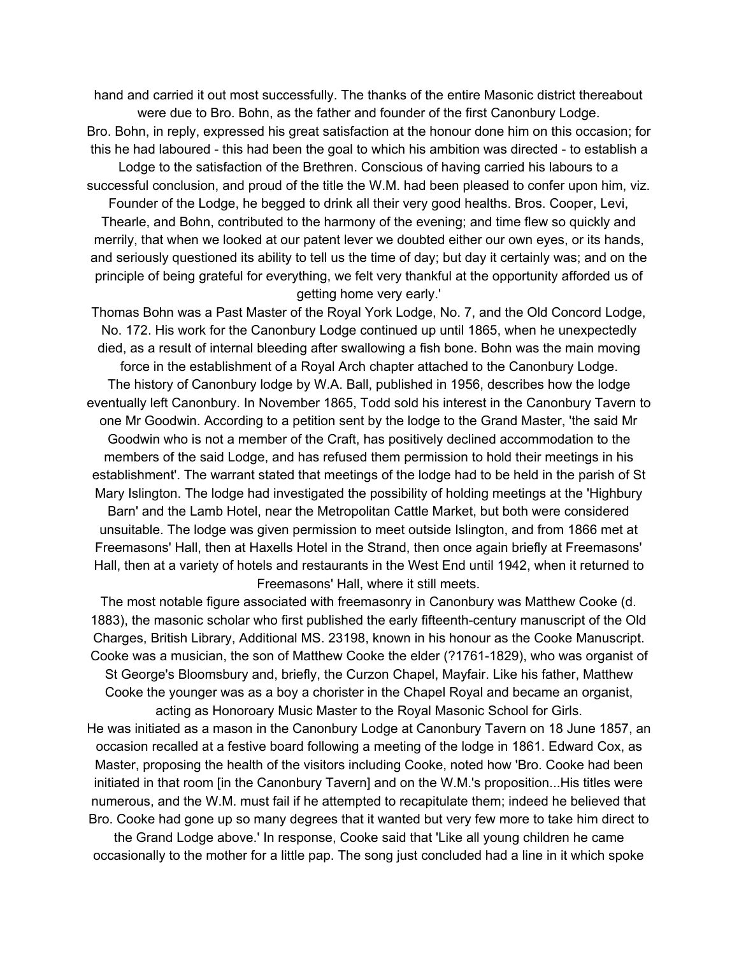hand and carried it out most successfully. The thanks of the entire Masonic district thereabout were due to Bro. Bohn, as the father and founder of the first Canonbury Lodge.

Bro. Bohn, in reply, expressed his great satisfaction at the honour done him on this occasion; for this he had laboured - this had been the goal to which his ambition was directed - to establish a

Lodge to the satisfaction of the Brethren. Conscious of having carried his labours to a successful conclusion, and proud of the title the W.M. had been pleased to confer upon him, viz.

Founder of the Lodge, he begged to drink all their very good healths. Bros. Cooper, Levi, Thearle, and Bohn, contributed to the harmony of the evening; and time flew so quickly and merrily, that when we looked at our patent lever we doubted either our own eyes, or its hands, and seriously questioned its ability to tell us the time of day; but day it certainly was; and on the principle of being grateful for everything, we felt very thankful at the opportunity afforded us of getting home very early.'

Thomas Bohn was a Past Master of the Royal York Lodge, No. 7, and the Old Concord Lodge, No. 172. His work for the Canonbury Lodge continued up until 1865, when he unexpectedly died, as a result of internal bleeding after swallowing a fish bone. Bohn was the main moving force in the establishment of a Royal Arch chapter attached to the Canonbury Lodge. The history of Canonbury lodge by W.A. Ball, published in 1956, describes how the lodge eventually left Canonbury. In November 1865, Todd sold his interest in the Canonbury Tavern to one Mr Goodwin. According to a petition sent by the lodge to the Grand Master, 'the said Mr Goodwin who is not a member of the Craft, has positively declined accommodation to the members of the said Lodge, and has refused them permission to hold their meetings in his establishment'. The warrant stated that meetings of the lodge had to be held in the parish of St Mary Islington. The lodge had investigated the possibility of holding meetings at the 'Highbury Barn' and the Lamb Hotel, near the Metropolitan Cattle Market, but both were considered unsuitable. The lodge was given permission to meet outside Islington, and from 1866 met at Freemasons' Hall, then at Haxells Hotel in the Strand, then once again briefly at Freemasons' Hall, then at a variety of hotels and restaurants in the West End until 1942, when it returned to Freemasons' Hall, where it still meets.

The most notable figure associated with freemasonry in Canonbury was Matthew Cooke (d. 1883), the masonic scholar who first published the early fifteenth-century manuscript of the Old Charges, British Library, Additional MS. 23198, known in his honour as the Cooke Manuscript. Cooke was a musician, the son of Matthew Cooke the elder (?1761-1829), who was organist of St George's Bloomsbury and, briefly, the Curzon Chapel, Mayfair. Like his father, Matthew Cooke the younger was as a boy a chorister in the Chapel Royal and became an organist, acting as Honoroary Music Master to the Royal Masonic School for Girls.

He was initiated as a mason in the Canonbury Lodge at Canonbury Tavern on 18 June 1857, an occasion recalled at a festive board following a meeting of the lodge in 1861. Edward Cox, as Master, proposing the health of the visitors including Cooke, noted how 'Bro. Cooke had been initiated in that room [in the Canonbury Tavern] and on the W.M.'s proposition...His titles were numerous, and the W.M. must fail if he attempted to recapitulate them; indeed he believed that Bro. Cooke had gone up so many degrees that it wanted but very few more to take him direct to

the Grand Lodge above.' In response, Cooke said that 'Like all young children he came occasionally to the mother for a little pap. The song just concluded had a line in it which spoke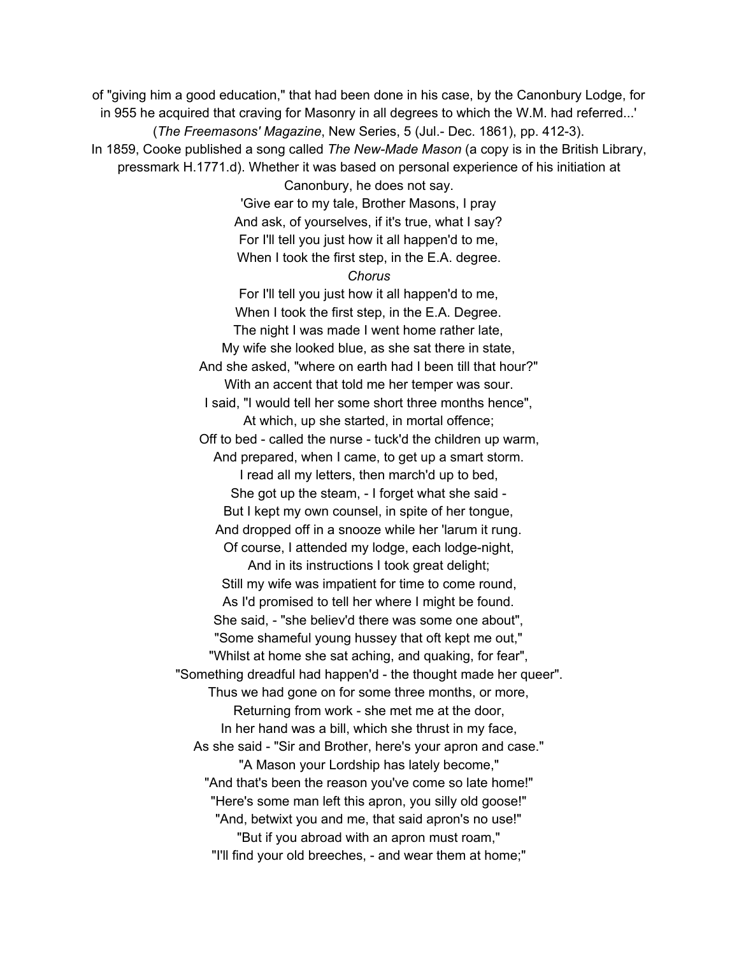of "giving him a good education," that had been done in his case, by the Canonbury Lodge, for in 955 he acquired that craving for Masonry in all degrees to which the W.M. had referred...' (*The Freemasons' Magazine*, New Series, 5 (Jul.- Dec. 1861), pp. 412-3). In 1859, Cooke published a song called *The New-Made Mason* (a copy is in the British Library, pressmark H.1771.d). Whether it was based on personal experience of his initiation at Canonbury, he does not say. 'Give ear to my tale, Brother Masons, I pray And ask, of yourselves, if it's true, what I say? For I'll tell you just how it all happen'd to me, When I took the first step, in the E.A. degree. *Chorus* For I'll tell you just how it all happen'd to me, When I took the first step, in the E.A. Degree. The night I was made I went home rather late, My wife she looked blue, as she sat there in state, And she asked, "where on earth had I been till that hour?" With an accent that told me her temper was sour. I said, "I would tell her some short three months hence", At which, up she started, in mortal offence; Off to bed - called the nurse - tuck'd the children up warm, And prepared, when I came, to get up a smart storm. I read all my letters, then march'd up to bed, She got up the steam, - I forget what she said - But I kept my own counsel, in spite of her tongue, And dropped off in a snooze while her 'larum it rung. Of course, I attended my lodge, each lodge-night, And in its instructions I took great delight; Still my wife was impatient for time to come round, As I'd promised to tell her where I might be found. She said, - "she believ'd there was some one about", "Some shameful young hussey that oft kept me out," "Whilst at home she sat aching, and quaking, for fear", "Something dreadful had happen'd - the thought made her queer". Thus we had gone on for some three months, or more, Returning from work - she met me at the door, In her hand was a bill, which she thrust in my face, As she said - "Sir and Brother, here's your apron and case." "A Mason your Lordship has lately become," "And that's been the reason you've come so late home!" "Here's some man left this apron, you silly old goose!" "And, betwixt you and me, that said apron's no use!" "But if you abroad with an apron must roam," "I'll find your old breeches, - and wear them at home;"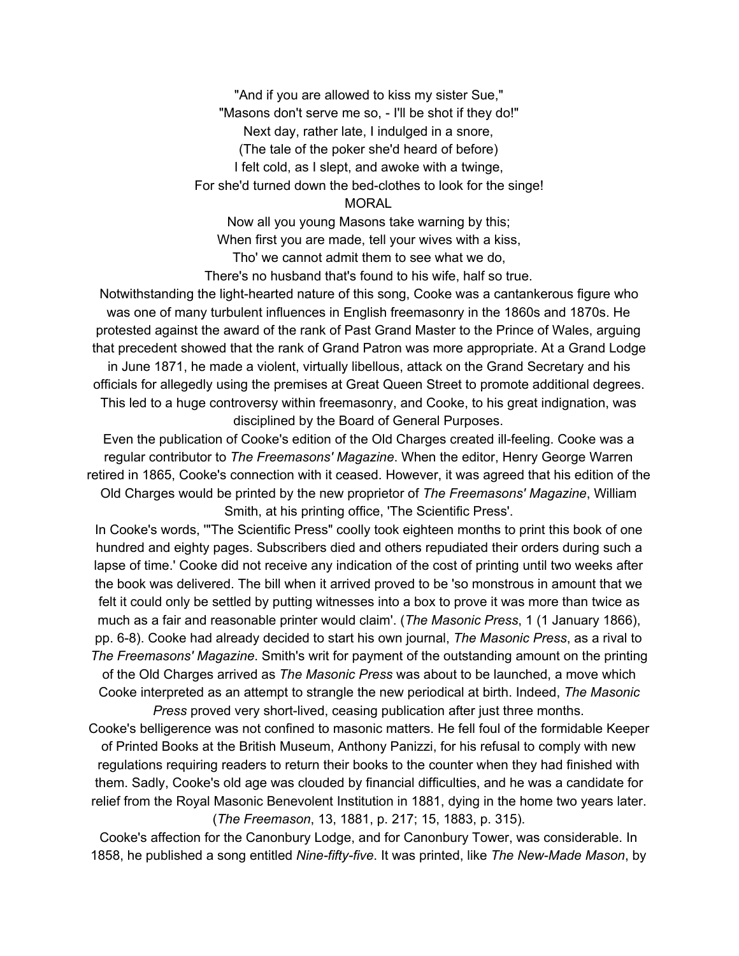"And if you are allowed to kiss my sister Sue," "Masons don't serve me so, - I'll be shot if they do!" Next day, rather late, I indulged in a snore, (The tale of the poker she'd heard of before) I felt cold, as I slept, and awoke with a twinge, For she'd turned down the bed-clothes to look for the singe! **MORAL** 

Now all you young Masons take warning by this; When first you are made, tell your wives with a kiss, Tho' we cannot admit them to see what we do,

There's no husband that's found to his wife, half so true.

Notwithstanding the light-hearted nature of this song, Cooke was a cantankerous figure who was one of many turbulent influences in English freemasonry in the 1860s and 1870s. He protested against the award of the rank of Past Grand Master to the Prince of Wales, arguing that precedent showed that the rank of Grand Patron was more appropriate. At a Grand Lodge in June 1871, he made a violent, virtually libellous, attack on the Grand Secretary and his officials for allegedly using the premises at Great Queen Street to promote additional degrees. This led to a huge controversy within freemasonry, and Cooke, to his great indignation, was disciplined by the Board of General Purposes.

Even the publication of Cooke's edition of the Old Charges created ill-feeling. Cooke was a regular contributor to *The Freemasons' Magazine*. When the editor, Henry George Warren retired in 1865, Cooke's connection with it ceased. However, it was agreed that his edition of the Old Charges would be printed by the new proprietor of *The Freemasons' Magazine*, William Smith, at his printing office, 'The Scientific Press'.

In Cooke's words, '"The Scientific Press" coolly took eighteen months to print this book of one hundred and eighty pages. Subscribers died and others repudiated their orders during such a lapse of time.' Cooke did not receive any indication of the cost of printing until two weeks after the book was delivered. The bill when it arrived proved to be 'so monstrous in amount that we felt it could only be settled by putting witnesses into a box to prove it was more than twice as much as a fair and reasonable printer would claim'. (*The Masonic Press*, 1 (1 January 1866), pp. 6-8). Cooke had already decided to start his own journal, *The Masonic Press*, as a rival to *The Freemasons' Magazine*. Smith's writ for payment of the outstanding amount on the printing of the Old Charges arrived as *The Masonic Press* was about to be launched, a move which Cooke interpreted as an attempt to strangle the new periodical at birth. Indeed, *The Masonic*

*Press* proved very short-lived, ceasing publication after just three months. Cooke's belligerence was not confined to masonic matters. He fell foul of the formidable Keeper of Printed Books at the British Museum, Anthony Panizzi, for his refusal to comply with new regulations requiring readers to return their books to the counter when they had finished with them. Sadly, Cooke's old age was clouded by financial difficulties, and he was a candidate for relief from the Royal Masonic Benevolent Institution in 1881, dying in the home two years later. (*The Freemason*, 13, 1881, p. 217; 15, 1883, p. 315).

Cooke's affection for the Canonbury Lodge, and for Canonbury Tower, was considerable. In 1858, he published a song entitled *Nine-fifty-five*. It was printed, like *The New-Made Mason*, by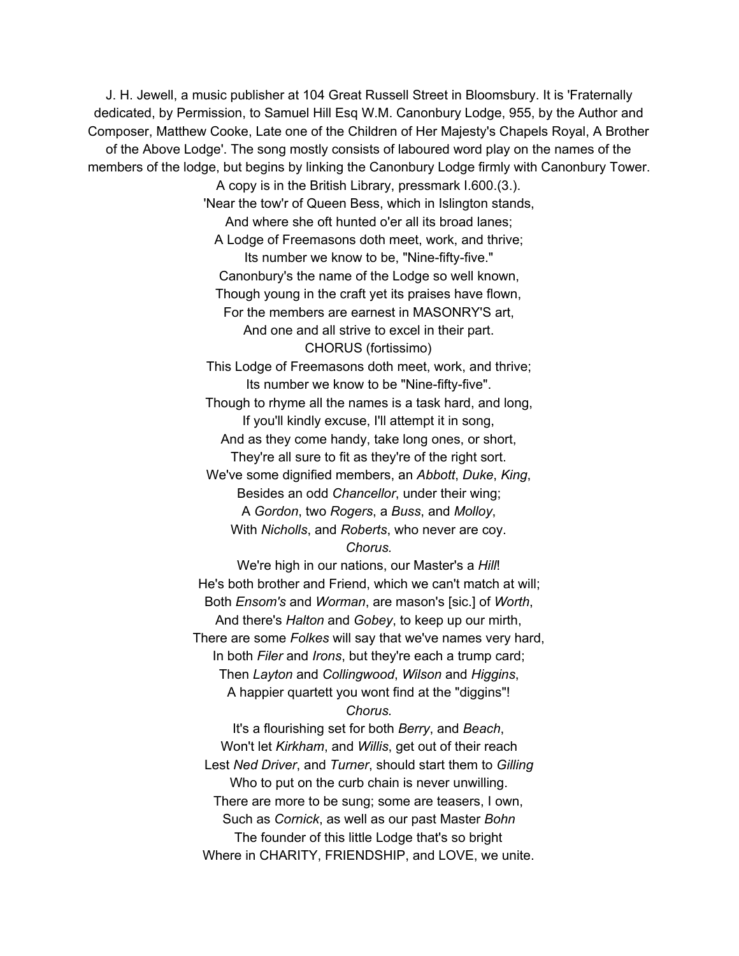J. H. Jewell, a music publisher at 104 Great Russell Street in Bloomsbury. It is 'Fraternally dedicated, by Permission, to Samuel Hill Esq W.M. Canonbury Lodge, 955, by the Author and Composer, Matthew Cooke, Late one of the Children of Her Majesty's Chapels Royal, A Brother of the Above Lodge'. The song mostly consists of laboured word play on the names of the members of the lodge, but begins by linking the Canonbury Lodge firmly with Canonbury Tower.

A copy is in the British Library, pressmark I.600.(3.). 'Near the tow'r of Queen Bess, which in Islington stands, And where she oft hunted o'er all its broad lanes; A Lodge of Freemasons doth meet, work, and thrive; Its number we know to be, "Nine-fifty-five." Canonbury's the name of the Lodge so well known, Though young in the craft yet its praises have flown, For the members are earnest in MASONRY'S art, And one and all strive to excel in their part. CHORUS (fortissimo) This Lodge of Freemasons doth meet, work, and thrive; Its number we know to be "Nine-fifty-five". Though to rhyme all the names is a task hard, and long, If you'll kindly excuse, I'll attempt it in song, And as they come handy, take long ones, or short, They're all sure to fit as they're of the right sort. We've some dignified members, an *Abbott*, *Duke*, *King*, Besides an odd *Chancellor*, under their wing;

A *Gordon*, two *Rogers*, a *Buss*, and *Molloy*, With *Nicholls*, and *Roberts*, who never are coy. *Chorus.*

We're high in our nations, our Master's a *Hill*! He's both brother and Friend, which we can't match at will; Both *Ensom's* and *Worman*, are mason's [sic.] of *Worth*, And there's *Halton* and *Gobey*, to keep up our mirth, There are some *Folkes* will say that we've names very hard, In both *Filer* and *Irons*, but they're each a trump card; Then *Layton* and *Collingwood*, *Wilson* and *Higgins*, A happier quartett you wont find at the "diggins"!

*Chorus.*

It's a flourishing set for both *Berry*, and *Beach*, Won't let *Kirkham*, and *Willis*, get out of their reach Lest *Ned Driver*, and *Turner*, should start them to *Gilling* Who to put on the curb chain is never unwilling. There are more to be sung; some are teasers, I own, Such as *Cornick*, as well as our past Master *Bohn* The founder of this little Lodge that's so bright Where in CHARITY, FRIENDSHIP, and LOVE, we unite.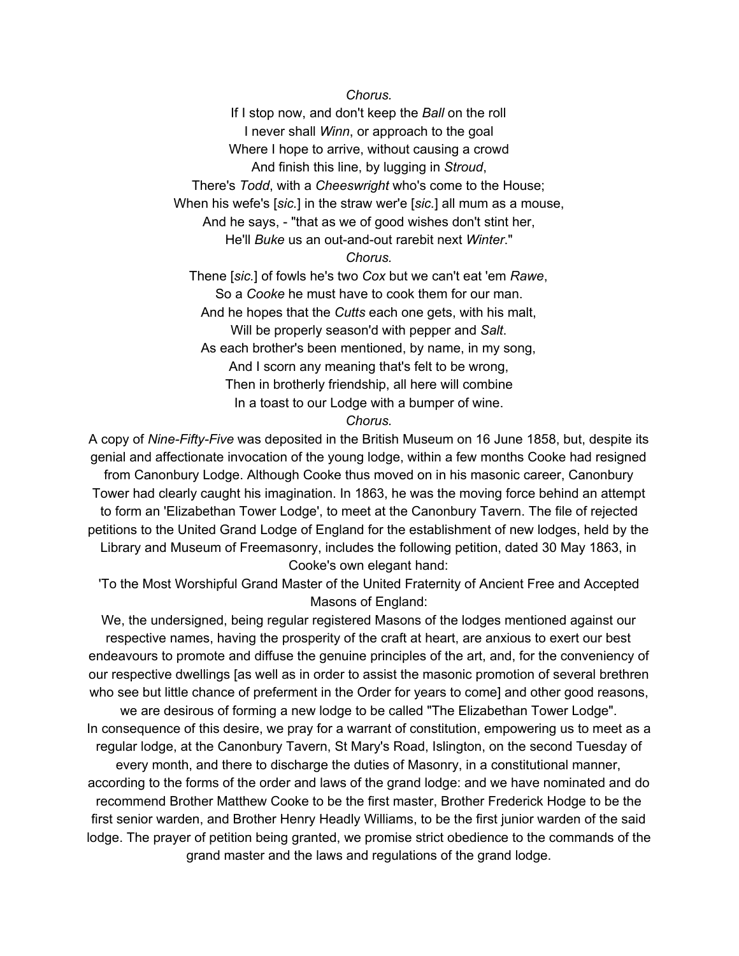*Chorus.*

If I stop now, and don't keep the *Ball* on the roll I never shall *Winn*, or approach to the goal Where I hope to arrive, without causing a crowd And finish this line, by lugging in *Stroud*, There's *Todd*, with a *Cheeswright* who's come to the House; When his wefe's [*sic.*] in the straw wer'e [*sic.*] all mum as a mouse, And he says, - "that as we of good wishes don't stint her, He'll *Buke* us an out-and-out rarebit next *Winter*." *Chorus.* Thene [*sic.*] of fowls he's two *Cox* but we can't eat 'em *Rawe*, So a *Cooke* he must have to cook them for our man. And he hopes that the *Cutts* each one gets, with his malt, Will be properly season'd with pepper and *Salt*. As each brother's been mentioned, by name, in my song, And I scorn any meaning that's felt to be wrong, Then in brotherly friendship, all here will combine In a toast to our Lodge with a bumper of wine.

## *Chorus.*

A copy of *Nine-Fifty-Five* was deposited in the British Museum on 16 June 1858, but, despite its genial and affectionate invocation of the young lodge, within a few months Cooke had resigned from Canonbury Lodge. Although Cooke thus moved on in his masonic career, Canonbury Tower had clearly caught his imagination. In 1863, he was the moving force behind an attempt to form an 'Elizabethan Tower Lodge', to meet at the Canonbury Tavern. The file of rejected petitions to the United Grand Lodge of England for the establishment of new lodges, held by the Library and Museum of Freemasonry, includes the following petition, dated 30 May 1863, in Cooke's own elegant hand:

'To the Most Worshipful Grand Master of the United Fraternity of Ancient Free and Accepted Masons of England:

We, the undersigned, being regular registered Masons of the lodges mentioned against our respective names, having the prosperity of the craft at heart, are anxious to exert our best endeavours to promote and diffuse the genuine principles of the art, and, for the conveniency of our respective dwellings [as well as in order to assist the masonic promotion of several brethren who see but little chance of preferment in the Order for years to come] and other good reasons, we are desirous of forming a new lodge to be called "The Elizabethan Tower Lodge".

In consequence of this desire, we pray for a warrant of constitution, empowering us to meet as a regular lodge, at the Canonbury Tavern, St Mary's Road, Islington, on the second Tuesday of

every month, and there to discharge the duties of Masonry, in a constitutional manner, according to the forms of the order and laws of the grand lodge: and we have nominated and do recommend Brother Matthew Cooke to be the first master, Brother Frederick Hodge to be the first senior warden, and Brother Henry Headly Williams, to be the first junior warden of the said lodge. The prayer of petition being granted, we promise strict obedience to the commands of the grand master and the laws and regulations of the grand lodge.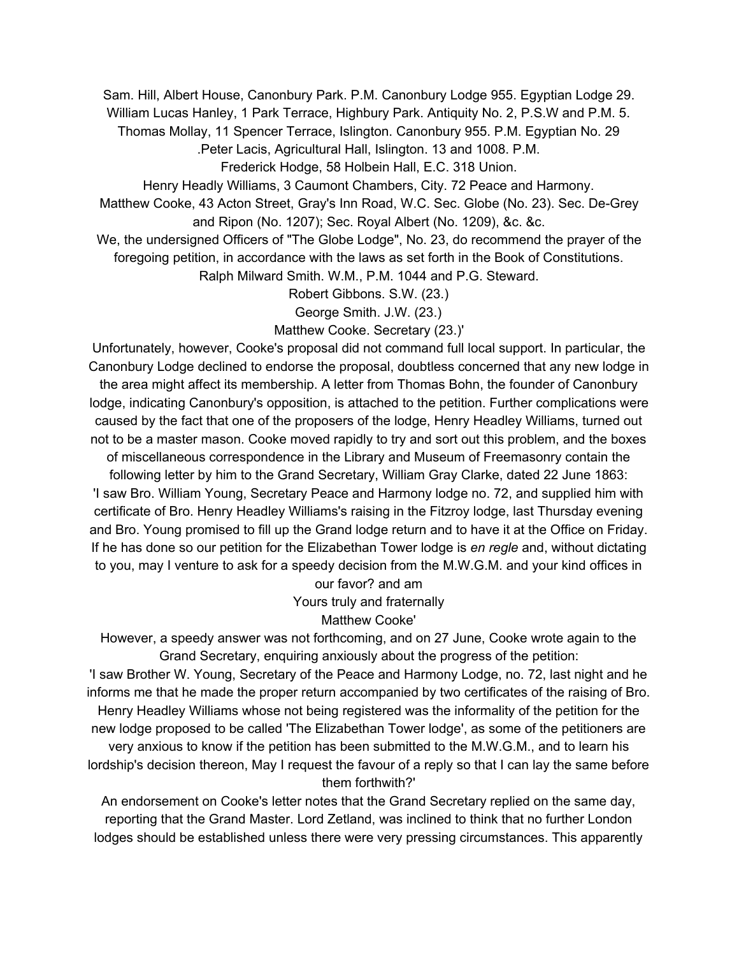Sam. Hill, Albert House, Canonbury Park. P.M. Canonbury Lodge 955. Egyptian Lodge 29. William Lucas Hanley, 1 Park Terrace, Highbury Park. Antiquity No. 2, P.S.W and P.M. 5.

Thomas Mollay, 11 Spencer Terrace, Islington. Canonbury 955. P.M. Egyptian No. 29

.Peter Lacis, Agricultural Hall, Islington. 13 and 1008. P.M.

Frederick Hodge, 58 Holbein Hall, E.C. 318 Union.

Henry Headly Williams, 3 Caumont Chambers, City. 72 Peace and Harmony.

Matthew Cooke, 43 Acton Street, Gray's Inn Road, W.C. Sec. Globe (No. 23). Sec. De-Grey and Ripon (No. 1207); Sec. Royal Albert (No. 1209), &c. &c.

We, the undersigned Officers of "The Globe Lodge", No. 23, do recommend the prayer of the foregoing petition, in accordance with the laws as set forth in the Book of Constitutions.

Ralph Milward Smith. W.M., P.M. 1044 and P.G. Steward.

Robert Gibbons. S.W. (23.)

George Smith. J.W. (23.)

Matthew Cooke. Secretary (23.)'

Unfortunately, however, Cooke's proposal did not command full local support. In particular, the Canonbury Lodge declined to endorse the proposal, doubtless concerned that any new lodge in the area might affect its membership. A letter from Thomas Bohn, the founder of Canonbury lodge, indicating Canonbury's opposition, is attached to the petition. Further complications were caused by the fact that one of the proposers of the lodge, Henry Headley Williams, turned out not to be a master mason. Cooke moved rapidly to try and sort out this problem, and the boxes

of miscellaneous correspondence in the Library and Museum of Freemasonry contain the following letter by him to the Grand Secretary, William Gray Clarke, dated 22 June 1863: 'I saw Bro. William Young, Secretary Peace and Harmony lodge no. 72, and supplied him with certificate of Bro. Henry Headley Williams's raising in the Fitzroy lodge, last Thursday evening and Bro. Young promised to fill up the Grand lodge return and to have it at the Office on Friday. If he has done so our petition for the Elizabethan Tower lodge is *en regle* and, without dictating to you, may I venture to ask for a speedy decision from the M.W.G.M. and your kind offices in

our favor? and am Yours truly and fraternally

Matthew Cooke'

However, a speedy answer was not forthcoming, and on 27 June, Cooke wrote again to the Grand Secretary, enquiring anxiously about the progress of the petition:

'I saw Brother W. Young, Secretary of the Peace and Harmony Lodge, no. 72, last night and he informs me that he made the proper return accompanied by two certificates of the raising of Bro. Henry Headley Williams whose not being registered was the informality of the petition for the new lodge proposed to be called 'The Elizabethan Tower lodge', as some of the petitioners are very anxious to know if the petition has been submitted to the M.W.G.M., and to learn his lordship's decision thereon, May I request the favour of a reply so that I can lay the same before them forthwith?'

An endorsement on Cooke's letter notes that the Grand Secretary replied on the same day, reporting that the Grand Master. Lord Zetland, was inclined to think that no further London lodges should be established unless there were very pressing circumstances. This apparently